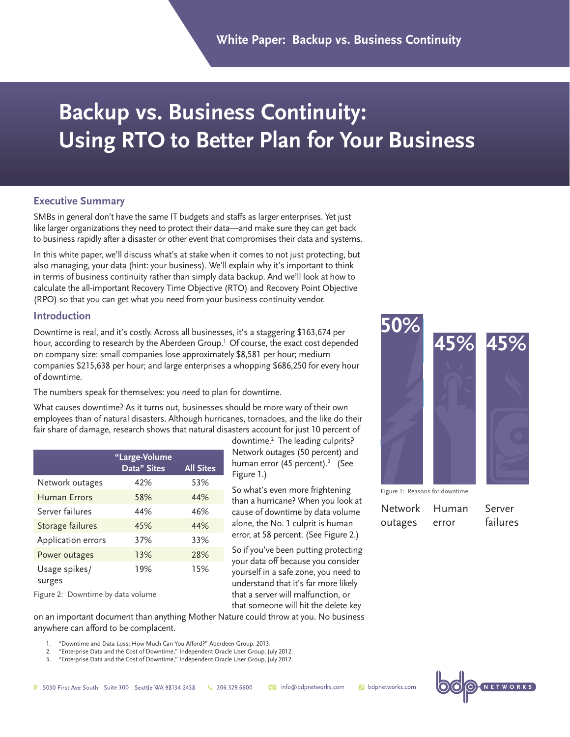# **Backup vs. Business Continuity: Using RTO to Better Plan for Your Business**

#### **Executive Summary**

SMBs in general don't have the same IT budgets and staffs as larger enterprises. Yet just like larger organizations they need to protect their data—and make sure they can get back to business rapidly after a disaster or other event that compromises their data and systems.

In this white paper, we'll discuss what's at stake when it comes to not just protecting, but also managing, your data (hint: your business). We'll explain why it's important to think in terms of business continuity rather than simply data backup. And we'll look at how to calculate the all-important Recovery Time Objective (RTO) and Recovery Point Objective (RPO) so that you can get what you need from your business continuity vendor.

#### **Introduction**

Downtime is real, and it's costly. Across all businesses, it's a staggering \$163,674 per hour, according to research by the Aberdeen Group.<sup>1</sup> Of course, the exact cost depended on company size: small companies lose approximately \$8,581 per hour; medium companies \$215,638 per hour; and large enterprises a whopping \$686,250 for every hour of downtime.

The numbers speak for themselves: you need to plan for downtime.

What causes downtime? As it turns out, businesses should be more wary of their own employees than of natural disasters. Although hurricanes, tornadoes, and the like do their fair share of damage, research shows that natural disasters account for just 10 percent of

|                         | "Large-Volume<br>Data" Sites | <b>All Sites</b> |
|-------------------------|------------------------------|------------------|
| Network outages         | 42%                          | 53%              |
| Human Frrors            | 58%                          | 44%              |
| Server failures         | 44%                          | 46%              |
| Storage failures        | 45%                          | 44%              |
| Application errors      | 37%                          | 33%              |
| Power outages           | 13%                          | 28%              |
| Usage spikes/<br>surges | 19%                          | 15%              |

Figure 2: Downtime by data volume

downtime.2 The leading culprits? Network outages (50 percent) and human error (45 percent).<sup>3</sup> (See Figure 1.)

So what's even more frightening than a hurricane? When you look at cause of downtime by data volume alone, the No. 1 culprit is human error, at 58 percent. (See Figure 2.)

So if you've been putting protecting your data off because you consider yourself in a safe zone, you need to understand that it's far more likely that a server will malfunction, or that someone will hit the delete key



Network outages Human error

Server failures

on an important document than anything Mother Nature could throw at you. No business anywhere can afford to be complacent.

- 1. "Downtime and Data Loss: How Much Can You Afford?" Aberdeen Group, 2013.
- 2. "Enterprise Data and the Cost of Downtime," Independent Oracle User Group, July 2012.
- 3. "Enterprise Data and the Cost of Downtime," Independent Oracle User Group, July 2012.

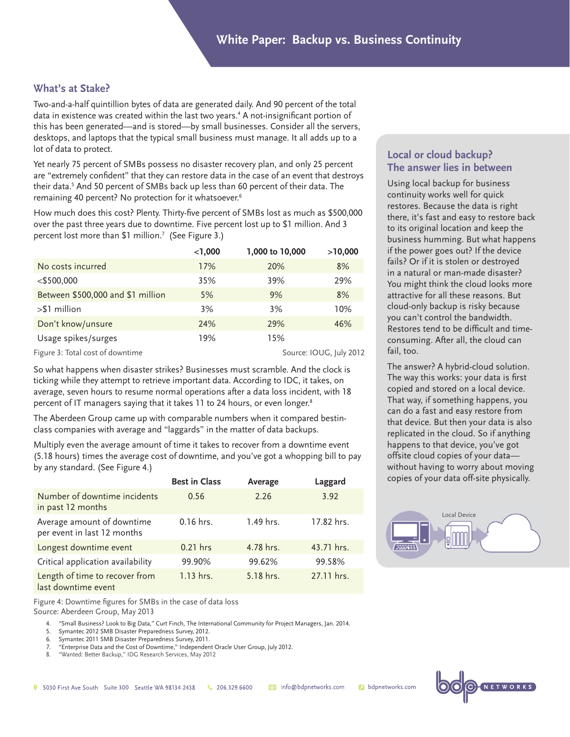## **What's at Stake?**

Two-and-a-half quintillion bytes of data are generated daily. And 90 percent of the total data in existence was created within the last two years.4 A not-insignificant portion of this has been generated—and is stored—by small businesses. Consider all the servers, desktops, and laptops that the typical small business must manage. It all adds up to a lot of data to protect.

Yet nearly 75 percent of SMBs possess no disaster recovery plan, and only 25 percent are "extremely confident" that they can restore data in the case of an event that destroys their data.5 And 50 percent of SMBs back up less than 60 percent of their data. The remaining 40 percent? No protection for it whatsoever.6

How much does this cost? Plenty. Thirty-five percent of SMBs lost as much as \$500,000 over the past three years due to downtime. Five percent lost up to \$1 million. And 3 percent lost more than \$1 million.7 (See Figure 3.)

|                                   | $<$ 1,000 | 1,000 to 10,000 | >10,000 |
|-----------------------------------|-----------|-----------------|---------|
| No costs incurred                 | 17%       | 20%             | 8%      |
| $<$ \$500,000                     | 35%       | 39%             | 29%     |
| Between \$500,000 and \$1 million | 5%        | 9%              | 8%      |
| $> $1$ million                    | 3%        | 3%              | 10%     |
| Don't know/unsure                 | 24%       | 29%             | 46%     |
| Usage spikes/surges               | 19%       | 15%             |         |

Figure 3: Total cost of downtime Source: IOUG, July 2012

So what happens when disaster strikes? Businesses must scramble. And the clock is ticking while they attempt to retrieve important data. According to IDC, it takes, on average, seven hours to resume normal operations after a data loss incident, with 18 percent of IT managers saying that it takes 11 to 24 hours, or even longer.<sup>8</sup>

The Aberdeen Group came up with comparable numbers when it compared bestinclass companies with average and "laggards" in the matter of data backups.

Multiply even the average amount of time it takes to recover from a downtime event (5.18 hours) times the average cost of downtime, and you've got a whopping bill to pay by any standard. (See Figure 4.)

|                                                           | <b>Best in Class</b> | Average   | Laggard    |
|-----------------------------------------------------------|----------------------|-----------|------------|
| Number of downtime incidents<br>in past 12 months         | 0.56                 | 2.26      | 3.92       |
| Average amount of downtime<br>per event in last 12 months | $0.16$ hrs.          | 1.49 hrs. | 17.82 hrs. |
| Longest downtime event                                    | $0.21$ hrs           | 4.78 hrs. | 43.71 hrs. |
| Critical application availability                         | 99.90%               | 99.62%    | 99.58%     |
| Length of time to recover from<br>last downtime event     | 1.13 hrs.            | 5.18 hrs. | 27.11 hrs. |

Figure 4: Downtime figures for SMBs in the case of data loss

Source: Aberdeen Group, May 2013

4. "Small Business? Look to Big Data," Curt Finch, The International Community for Project Managers, Jan. 2014.

- 5. Symantec 2012 SMB Disaster Preparedness Survey, 2012.
- 6. Symantec 2011 SMB Disaster Preparedness Survey, 2011.
- 7. "Enterprise Data and the Cost of Downtime," Independent Oracle User Group, July 2012.
- 8. "Wanted: Better Backup," IDG Research Services, May 2012

## **Local or cloud backup? The answer lies in between**

Using local backup for business continuity works well for quick restores. Because the data is right there, it's fast and easy to restore back to its original location and keep the business humming. But what happens if the power goes out? If the device fails? Or if it is stolen or destroyed in a natural or man-made disaster? You might think the cloud looks more attractive for all these reasons. But cloud-only backup is risky because you can't control the bandwidth. Restores tend to be difficult and timeconsuming. After all, the cloud can fail, too.

The answer? A hybrid-cloud solution. The way this works: your data is first copied and stored on a local device. That way, if something happens, you can do a fast and easy restore from that device. But then your data is also replicated in the cloud. So if anything happens to that device, you've got offsite cloud copies of your data without having to worry about moving copies of your data off-site physically.





**b**dpnetworks.com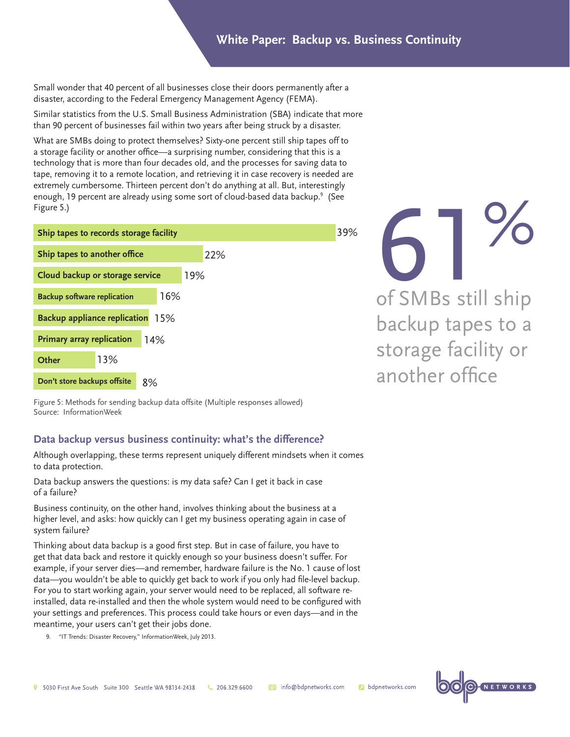## **White Paper: Backup vs. Business Continuity**

Small wonder that 40 percent of all businesses close their doors permanently after a disaster, according to the Federal Emergency Management Agency (FEMA).

Similar statistics from the U.S. Small Business Administration (SBA) indicate that more than 90 percent of businesses fail within two years after being struck by a disaster.

What are SMBs doing to protect themselves? Sixty-one percent still ship tapes off to a storage facility or another office—a surprising number, considering that this is a technology that is more than four decades old, and the processes for saving data to tape, removing it to a remote location, and retrieving it in case recovery is needed are extremely cumbersome. Thirteen percent don't do anything at all. But, interestingly enough, 19 percent are already using some sort of cloud-based data backup.<sup>9</sup> (See Figure 5.)

| Ship tapes to records storage facility  |     |     | 39% |
|-----------------------------------------|-----|-----|-----|
| Ship tapes to another office            |     | 22% |     |
| Cloud backup or storage service         |     | 19% |     |
| <b>Backup software replication</b>      | 16% |     |     |
| <b>Backup appliance replication</b> 15% |     |     |     |
| <b>Primary array replication</b>        | 14% |     |     |
| 13%<br>Other                            |     |     |     |
| Don't store backups offsite             | 8%  |     |     |

61% of SMBs still ship backup tapes to a storage facility or another office

Figure 5: Methods for sending backup data offsite (Multiple responses allowed) Source: InformationWeek

### **Data backup versus business continuity: what's the difference?**

Although overlapping, these terms represent uniquely different mindsets when it comes to data protection.

Data backup answers the questions: is my data safe? Can I get it back in case of a failure?

Business continuity, on the other hand, involves thinking about the business at a higher level, and asks: how quickly can I get my business operating again in case of system failure?

Thinking about data backup is a good first step. But in case of failure, you have to get that data back and restore it quickly enough so your business doesn't suffer. For example, if your server dies—and remember, hardware failure is the No. 1 cause of lost data—you wouldn't be able to quickly get back to work if you only had file-level backup. For you to start working again, your server would need to be replaced, all software reinstalled, data re-installed and then the whole system would need to be configured with your settings and preferences. This process could take hours or even days—and in the meantime, your users can't get their jobs done.

9. "IT Trends: Disaster Recovery," InformationWeek, July 2013.

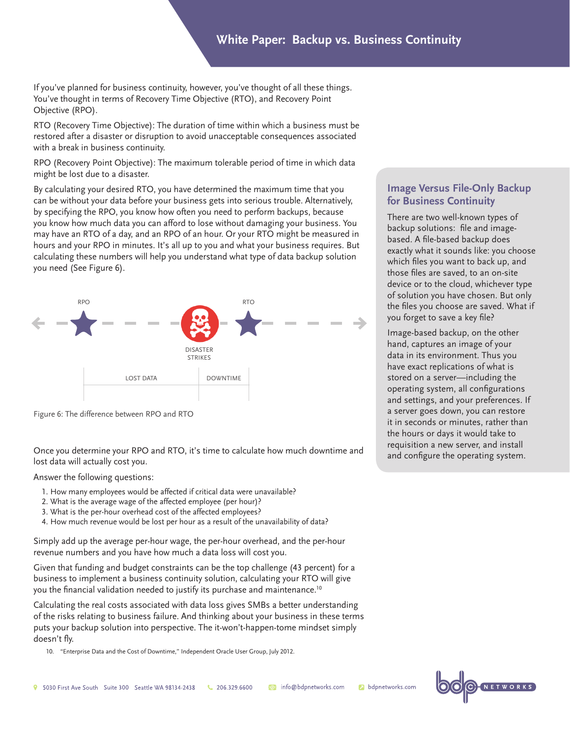If you've planned for business continuity, however, you've thought of all these things. You've thought in terms of Recovery Time Objective (RTO), and Recovery Point Objective (RPO).

RTO (Recovery Time Objective): The duration of time within which a business must be restored after a disaster or disruption to avoid unacceptable consequences associated with a break in business continuity.

RPO (Recovery Point Objective): The maximum tolerable period of time in which data might be lost due to a disaster.

By calculating your desired RTO, you have determined the maximum time that you can be without your data before your business gets into serious trouble. Alternatively, by specifying the RPO, you know how often you need to perform backups, because you know how much data you can afford to lose without damaging your business. You may have an RTO of a day, and an RPO of an hour. Or your RTO might be measured in hours and your RPO in minutes. It's all up to you and what your business requires. But calculating these numbers will help you understand what type of data backup solution you need (See Figure 6).



Figure 6: The difference between RPO and RTO

Once you determine your RPO and RTO, it's time to calculate how much downtime and lost data will actually cost you.

Answer the following questions:

- 1. How many employees would be affected if critical data were unavailable?
- 2. What is the average wage of the affected employee (per hour)?
- 3. What is the per-hour overhead cost of the affected employees?
- 4. How much revenue would be lost per hour as a result of the unavailability of data?

Simply add up the average per-hour wage, the per-hour overhead, and the per-hour revenue numbers and you have how much a data loss will cost you.

Given that funding and budget constraints can be the top challenge (43 percent) for a business to implement a business continuity solution, calculating your RTO will give you the financial validation needed to justify its purchase and maintenance.10

Calculating the real costs associated with data loss gives SMBs a better understanding of the risks relating to business failure. And thinking about your business in these terms puts your backup solution into perspective. The it-won't-happen-tome mindset simply doesn't fly.

10. "Enterprise Data and the Cost of Downtime," Independent Oracle User Group, July 2012.

## **Image Versus File-Only Backup for Business Continuity**

There are two well-known types of backup solutions: file and imagebased. A file-based backup does exactly what it sounds like: you choose which files you want to back up, and those files are saved, to an on-site device or to the cloud, whichever type of solution you have chosen. But only the files you choose are saved. What if you forget to save a key file?

Image-based backup, on the other hand, captures an image of your data in its environment. Thus you have exact replications of what is stored on a server—including the operating system, all configurations and settings, and your preferences. If a server goes down, you can restore it in seconds or minutes, rather than the hours or days it would take to requisition a new server, and install and configure the operating system.